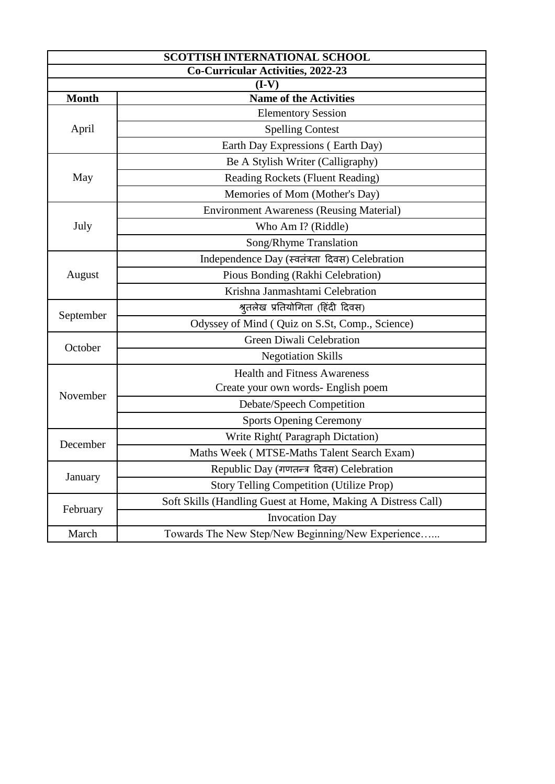| <b>SCOTTISH INTERNATIONAL SCHOOL</b>     |                                                              |  |
|------------------------------------------|--------------------------------------------------------------|--|
| <b>Co-Curricular Activities, 2022-23</b> |                                                              |  |
| $(I-V)$                                  |                                                              |  |
| <b>Month</b>                             | <b>Name of the Activities</b>                                |  |
| April                                    | <b>Elementory Session</b>                                    |  |
|                                          | <b>Spelling Contest</b>                                      |  |
|                                          | Earth Day Expressions (Earth Day)                            |  |
| May                                      | Be A Stylish Writer (Calligraphy)                            |  |
|                                          | Reading Rockets (Fluent Reading)                             |  |
|                                          | Memories of Mom (Mother's Day)                               |  |
| July                                     | <b>Environment Awareness (Reusing Material)</b>              |  |
|                                          | Who Am I? (Riddle)                                           |  |
|                                          | Song/Rhyme Translation                                       |  |
|                                          | Independence Day (स्वतंत्रता दिवस) Celebration               |  |
| August                                   | Pious Bonding (Rakhi Celebration)                            |  |
|                                          | Krishna Janmashtami Celebration                              |  |
|                                          | श्रुतलेख प्रतियोगिता (हिंदी दिवस)                            |  |
| September                                | Odyssey of Mind ( Quiz on S.St, Comp., Science)              |  |
| October                                  | Green Diwali Celebration                                     |  |
|                                          | <b>Negotiation Skills</b>                                    |  |
| November                                 | <b>Health and Fitness Awareness</b>                          |  |
|                                          | Create your own words- English poem                          |  |
|                                          | Debate/Speech Competition                                    |  |
|                                          | <b>Sports Opening Ceremony</b>                               |  |
|                                          | Write Right( Paragraph Dictation)                            |  |
| December                                 | Maths Week (MTSE-Maths Talent Search Exam)                   |  |
| January                                  | Republic Day (गणतन्त्र दिवस) Celebration                     |  |
|                                          | <b>Story Telling Competition (Utilize Prop)</b>              |  |
| February                                 | Soft Skills (Handling Guest at Home, Making A Distress Call) |  |
|                                          | <b>Invocation Day</b>                                        |  |
| March                                    | Towards The New Step/New Beginning/New Experience            |  |